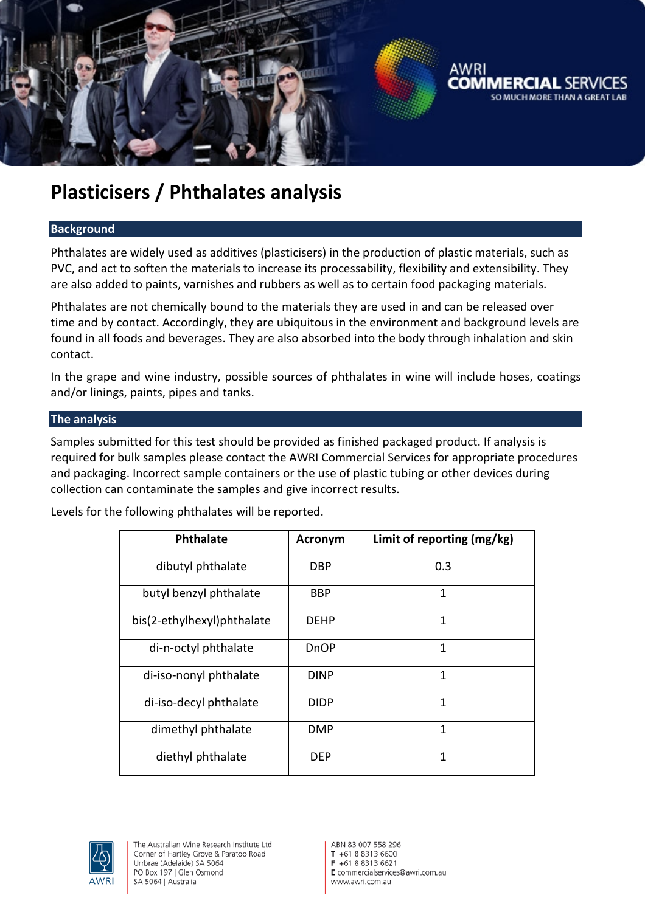

# **Plasticisers / Phthalates analysis**

### **Background**

Phthalates are widely used as additives (plasticisers) in the production of plastic materials, such as PVC, and act to soften the materials to increase its processability, flexibility and extensibility. They are also added to paints, varnishes and rubbers as well as to certain food packaging materials.

Phthalates are not chemically bound to the materials they are used in and can be released over time and by contact. Accordingly, they are ubiquitous in the environment and background levels are found in all foods and beverages. They are also absorbed into the body through inhalation and skin contact.

In the grape and wine industry, possible sources of phthalates in wine will include hoses, coatings and/or linings, paints, pipes and tanks.

### **The analysis**

Samples submitted for this test should be provided as finished packaged product. If analysis is required for bulk samples please contact the AWRI Commercial Services for appropriate procedures and packaging. Incorrect sample containers or the use of plastic tubing or other devices during collection can contaminate the samples and give incorrect results.

Levels for the following phthalates will be reported.

| <b>Phthalate</b>           | <b>Acronym</b> | Limit of reporting (mg/kg) |
|----------------------------|----------------|----------------------------|
| dibutyl phthalate          | <b>DBP</b>     | 0.3                        |
| butyl benzyl phthalate     | <b>BBP</b>     | 1                          |
| bis(2-ethylhexyl)phthalate | <b>DFHP</b>    | $\mathbf{1}$               |
| di-n-octyl phthalate       | DnOP           | $\mathbf{1}$               |
| di-iso-nonyl phthalate     | <b>DINP</b>    | 1                          |
| di-iso-decyl phthalate     | <b>DIDP</b>    | 1                          |
| dimethyl phthalate         | <b>DMP</b>     | 1                          |
| diethyl phthalate          | <b>DEP</b>     | 1                          |